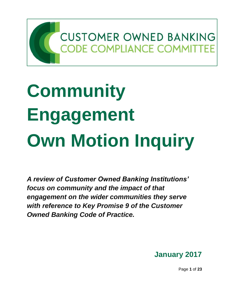

# **Community Engagement Own Motion Inquiry**

*A review of Customer Owned Banking Institutions' focus on community and the impact of that engagement on the wider communities they serve with reference to Key Promise 9 of the Customer Owned Banking Code of Practice.*



Page **1** of **23**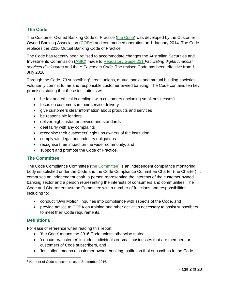### **The Code**

The Customer Owned Banking Code of Practice (the Code) was developed by the Customer Owned Banking Association (COBA) and commenced operation on 1 January 2014. The Code replaces the 2010 Mutual Banking Code of Practice.

The Code has recently been revised to accommodate changes the Australian Securities and Investments Commission (ASIC) made to Regulatory Guide 221 *Facilitating digital financial services disclosures* and the *e-Payments Code*. The revised Code has been effective from 1 July 2016.

Through the Code, 73 subscribing<sup>1</sup> credit unions, mutual banks and mutual building societies voluntarily commit to fair and responsible customer owned banking. The Code contains ten key promises stating that these institutions will:

- be fair and ethical in dealings with customers (including small businesses)
- **•** focus on customers in their service delivery
- give customers clear information about products and services
- be responsible lenders
- deliver high customer service and standards
- deal fairly with any complaints
- recognise their customers' rights as owners of the institution
- comply with legal and industry obligations
- recognise their impact on the wider community, and
- support and promote the Code of Practice.

#### **The Committee**

The Code Compliance Committee (the Committee) is an independent compliance monitoring body established under the Code and the Code Compliance Committee Charter (the Charter). It comprises an independent chair, a person representing the interests of the customer owned banking sector and a person representing the interests of consumers and communities. The Code and Charter entrust the Committee with a number of functions and responsibilities, including to:

- conduct 'Own Motion' inquiries into compliance with aspects of the Code, and
- provide advice to COBA on training and other activities necessary to assist subscribers to meet their Code requirements.

#### **Definitions**

For ease of reference when reading this report:

- 'the Code' means the 2016 Code unless otherwise stated
- 'consumer/customer' includes individuals or small businesses that are members or customers of Code subscribers, and
- 'institution' means a customer owned banking Institution that subscribes to the Code.

<sup>1</sup> Number of Code subscribers as at September 2016.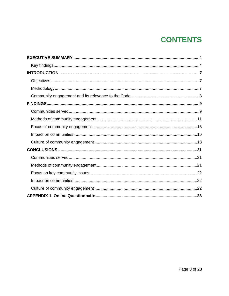# **CONTENTS**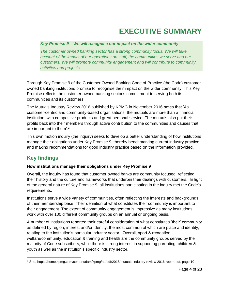# **EXECUTIVE SUMMARY**

#### <span id="page-3-0"></span>*Key Promise 9 – We will recognise our impact on the wider community*

*The customer owned banking sector has a strong community focus. We will take account of the impact of our operations on staff, the communities we serve and our customers. We will promote community engagement and will contribute to community activities and projects.*

Through Key Promise 9 of the Customer Owned Banking Code of Practice (the Code) customer owned banking institutions promise to recognise their impact on the wider community. This Key Promise reflects the customer owned banking sector's commitment to serving both its communities and its customers.

The Mutuals Industry Review 2016 published by KPMG in November 2016 notes that 'As customer-centric and community-based organisations, the mutuals are more than a financial institution, with competitive products and great personal service. The mutuals also put their profits back into their members through active contribution to the communities and causes that are important to them'.<sup>2</sup>

This own motion inquiry (the inquiry) seeks to develop a better understanding of how institutions manage their obligations under Key Promise 9, thereby benchmarking current industry practice and making recommendations for good industry practice based on the information provided.

# <span id="page-3-1"></span>**Key findings**

#### **How institutions manage their obligations under Key Promise 9**

Overall, the inquiry has found that customer owned banks are community focused, reflecting their history and the culture and frameworks that underpin their dealings with customers. In light of the general nature of Key Promise 9, all institutions participating in the inquiry met the Code's requirements.

Institutions serve a wide variety of communities, often reflecting the interests and backgrounds of their membership base. Their definition of what constitutes their community is important to their engagement. The extent of community engagement is impressive as many institutions work with over 100 different community groups on an annual or ongoing basis.

A number of institutions reported their careful consideration of what constitutes 'their' community as defined by region, interest and/or identity, the most common of which are place and identity, relating to the institution's particular industry sector. Overall, sport & recreation, welfare/community, education & training and health are the community groups served by the majority of Code subscribers, while there is strong interest in supporting parenting, children & youth as well as the institution's specific industry sector.

<sup>2</sup> See, https://home.kpmg.com/content/dam/kpmg/au/pdf/2016/mutuals-industry-review-2016-report.pdf, page 10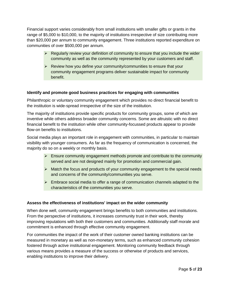Financial support varies considerably from small institutions with smaller gifts or grants in the range of \$5,000 to \$10,000, to the majority of institutions irrespective of size contributing more than \$20,000 per annum to community engagement. Three institutions reported expenditure on communities of over \$500,000 per annum.

- $\triangleright$  Regularly review your definition of community to ensure that you include the wider community as well as the community represented by your customers and staff.
- $\triangleright$  Review how you define your community/communities to ensure that your community engagement programs deliver sustainable impact for community benefit.

#### **Identify and promote good business practices for engaging with communities**

Philanthropic or voluntary community engagement which provides no direct financial benefit to the institution is wide-spread irrespective of the size of the institution.

The majority of institutions provide specific products for community groups, some of which are inventive while others address broader community concerns. Some are altruistic with no direct financial benefit to the institution while other community-focussed products appear to provide flow-on benefits to institutions.

Social media plays an important role in engagement with communities, in particular to maintain visibility with younger consumers. As far as the frequency of communication is concerned, the majority do so on a weekly or monthly basis.

- $\triangleright$  Ensure community engagement methods promote and contribute to the community served and are not designed mainly for promotion and commercial gain.
- $\triangleright$  Match the focus and products of your community engagement to the special needs and concerns of the community/communities you serve.
- $\triangleright$  Embrace social media to offer a range of communication channels adapted to the characteristics of the communities you serve.

#### **Assess the effectiveness of institutions' impact on the wider community**

When done well, community engagement brings benefits to both communities and institutions. From the perspective of institutions, it increases community trust in their work, thereby improving reputations with both their customers and communities. Additionally staff morale and commitment is enhanced through effective community engagement.

For communities the impact of the work of their customer owned banking institutions can be measured in monetary as well as non-monetary terms, such as enhanced community cohesion fostered through active institutional engagement. Monitoring community feedback through various means provides a measure of the success or otherwise of products and services, enabling institutions to improve their delivery.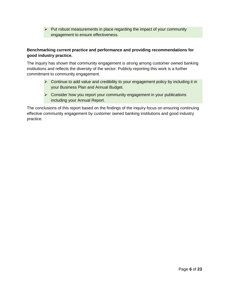$\triangleright$  Put robust measurements in place regarding the impact of your community engagement to ensure effectiveness.

#### **Benchmarking current practice and performance and providing recommendations for good industry practice.**

The inquiry has shown that community engagement is strong among customer owned banking institutions and reflects the diversity of the sector. Publicly reporting this work is a further commitment to community engagement.

- $\triangleright$  Continue to add value and credibility to your engagement policy by including it in your Business Plan and Annual Budget.
- $\triangleright$  Consider how you report your community engagement in your publications including your Annual Report.

<span id="page-5-0"></span>The conclusions of this report based on the findings of the inquiry focus on ensuring continuing effective community engagement by customer owned banking institutions and good industry practice.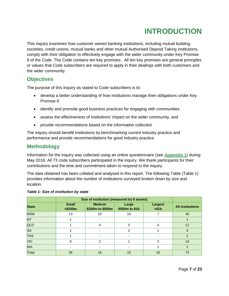# **INTRODUCTION**

This inquiry examines how customer owned banking institutions, including mutual building societies, credit unions, mutual banks and other mutual Authorised Deposit Taking institutions, comply with their obligation to effectively engage with the wider community under Key Promise 9 of the Code. The Code contains ten key promises. All ten key promises are general principles or values that Code subscribers are required to apply in their dealings with both customers and the wider community.

# <span id="page-6-0"></span>**Objectives**

The purpose of this inquiry as stated to Code subscribers is to:

- develop a better understanding of how institutions manage their obligations under Key Promise 9
- identify and promote good business practices for engaging with communities
- assess the effectiveness of institutions' impact on the wider community, and
- provide recommendations based on the information collected.

The inquiry should benefit institutions by benchmarking current industry practice and performance and provide recommendations for good industry practice.

# <span id="page-6-1"></span>**Methodology**

Information for the inquiry was collected using an online questionnaire (see **Appendix 1**) during May 2016. All 73 code subscribers participated in the inquiry. We thank participants for their contributions and the time and commitment taken to respond to the inquiry.

The data obtained has been collated and analysed in this report. The following Table (Table 1) provides information about the number of institutions surveyed broken down by size and location.

|              |                            | Size of institution (measured by \$ assets) |                         |                          |                         |
|--------------|----------------------------|---------------------------------------------|-------------------------|--------------------------|-------------------------|
| <b>State</b> | <b>Small</b><br>$<$ \$200m | <b>Medium</b><br>\$200m to \$500m           | Large<br>\$500m to \$1b | <b>Largest</b><br>> \$1b | <b>All institutions</b> |
| <b>NSW</b>   | 13                         | 10                                          | 10                      |                          | 40                      |
| <b>NT</b>    |                            |                                             |                         |                          |                         |
| <b>QLD</b>   |                            | 4                                           | 2                       | 4                        | 11                      |
| <b>SA</b>    | 2                          |                                             | 2                       |                          | 5                       |
| <b>TAS</b>   |                            |                                             |                         |                          |                         |
| <b>VIC</b>   | 8                          | $\mathfrak{p}$                              |                         | 3                        | 14                      |
| <b>WA</b>    |                            |                                             |                         |                          |                         |
| Total        | 26                         | 16                                          | 15                      | 16                       | 73                      |

#### *Table 1: Size of institution by state*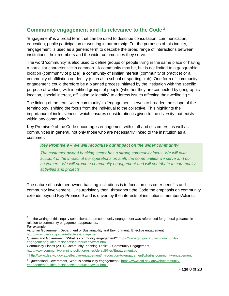# <span id="page-7-0"></span>**Community engagement and its relevance to the Code <sup>3</sup>**

'Engagement' is a broad term that can be used to describe consultation, communication, education, public participation or working in partnership. For the purposes of this inquiry, 'engagement' is used as a generic term to describe the broad range of interactions between institutions, their members and the wider communities they serve.

The word 'community' is also used to define groups of people living in the same place or having a particular characteristic in common. A community may be, but is not limited to a geographic location (community of place), a community of similar interest (community of practice) or a community of affiliation or identity (such as a school or sporting club). One form of 'community engagement' could therefore be a planned process initiated by the institution with the specific purpose of working with identified groups of people (whether they are connected by geographic location, special interest, affiliation or identity) to address issues affecting their wellbeing.<sup>4</sup>

The linking of the term 'wider community' to 'engagement' serves to broaden the scope of the terminology, shifting the focus from the individual to the collective. This highlights the importance of inclusiveness, which ensures consideration is given to the diversity that exists within any community.<sup>5</sup>

Key Promise 9 of the Code encourages engagement with staff and customers, as well as communities in general, not only those who are necessarily linked to the institution as a customer.

#### *Key Promise 9 – We will recognise our impact on the wider community*

*The customer owned banking sector has a strong community focus. We will take account of the impact of our operations on staff, the communities we serve and our customers. We will promote community engagement and will contribute to community activities and projects.*

The nature of customer owned banking institutions is to focus on customer benefits and community involvement. Unsurprisingly then, throughout the Code the emphasis on community extends beyond Key Promise 9 and is driven by the interests of institutions' members/clients.

For example:

- Victorian Government Department of Sustainability and Environment, 'Effective engagement', <http://www.dse.vic.gov.au/effective-engagement>
- Queensland Government, 'What is community engagement?' [https://www.qld.gov.au/web/community](https://www.qld.gov.au/web/community-engagement/guides-factsheets/introduction/what.html)[engagement/guides-factsheets/introduction/what.html](https://www.qld.gov.au/web/community-engagement/guides-factsheets/introduction/what.html)

Community Places (2014) Community Planning Toolkit – Community Engagement, <http://www.communityplanningtoolkit.org/sites/default/files/Engagement.pdf>

 $3$  In the writing of this inquiry some literature on community engagement was referenced for general guidance in relation to community engagement approaches.

<sup>4</sup> http://www.dse.vic.gov.au/effective-engagement/introduction-to-engagement/what-is-community-engagement

<sup>&</sup>lt;sup>5</sup> Queensland Government, 'What is community engagement?' [https://www.qld.gov.au/web/community](https://www.qld.gov.au/web/community-engagement/guides-factsheets/introduction/what.html)[engagement/guides-factsheets/introduction/what.html](https://www.qld.gov.au/web/community-engagement/guides-factsheets/introduction/what.html)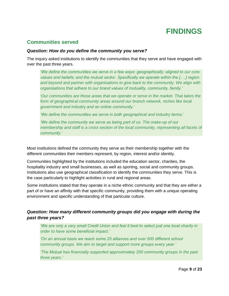# **FINDINGS**

# <span id="page-8-1"></span><span id="page-8-0"></span>**Communities served**

#### *Question: How do you define the community you serve?*

The inquiry asked institutions to identify the communities that they serve and have engaged with over the past three years.

*'We define the communities we serve in a few ways: geographically; aligned to our core values and beliefs; and the mutual sector. Specifically we operate within the [….] region and beyond and partner with organisations to give back to the community. We align with organisations that adhere to our brand values of mutuality, community, family.'*

*'Our communities are those areas that we operate or serve in the market. That takes the form of geographical community areas around our branch network, niches like local government and industry and an online community.'*

*'We define the communities we serve in both geographical and industry terms.'*

*'We define the community we serve as being part of us. The make-up of our membership and staff is a cross section of the local community, representing all facets of community.'*

Most institutions defined the community they serve as their membership together with the different communities their members represent, by region, interest and/or identity.

Communities highlighted by the institutions included the education sector, charities, the hospitality industry and small businesses, as well as sporting, social and community groups. Institutions also use geographical classification to identify the communities they serve. This is the case particularly to highlight activities in rural and regional areas.

Some institutions stated that they operate in a niche ethnic community and that they are either a part of or have an affinity with that specific community, providing them with a unique operating environment and specific understanding of that particular culture.

## *Question: How many different community groups did you engage with during the past three years?*

*'We are only a very small Credit Union and feel it best to select just one local charity in order to have some beneficial impact.'*

*'On an annual basis we reach some 25 alliances and over 500 different school community groups. We aim to target and support more groups every year.'*

*'The Mutual has financially supported approximately 200 community groups in the past three years.'*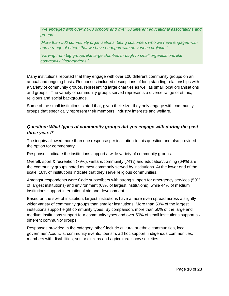*'We engaged with over 2,000 schools and over 50 different educational associations and groups.'*

*'More than 500 community organisations, being customers who we have engaged with and a range of others that we have engaged with on various projects.'*

*'Varying from big groups like large charities through to small organisations like community kindergartens.'*

Many institutions reported that they engage with over 100 different community groups on an annual and ongoing basis. Responses included descriptions of long standing relationships with a variety of community groups, representing large charities as well as small local organisations and groups. The variety of community groups served represents a diverse range of ethnic, religious and social backgrounds.

Some of the small institutions stated that, given their size, they only engage with community groups that specifically represent their members' industry interests and welfare.

### *Question: What types of community groups did you engage with during the past three years?*

The inquiry allowed more than one response per institution to this question and also provided the option for commentary.

Responses indicate the institutions support a wide variety of community groups.

Overall, sport & recreation (79%), welfare/community (74%) and education/training (64%) are the community groups noted as most commonly served by institutions. At the lower end of the scale, 18% of institutions indicate that they serve religious communities.

Amongst respondents were Code subscribers with strong support for emergency services (50% of largest institutions) and environment (63% of largest institutions), while 44% of medium institutions support international aid and development.

Based on the size of institution, largest institutions have a more even spread across a slightly wider variety of community groups than smaller institutions. More than 50% of the largest institutions support eight community types. By comparison, more than 50% of the large and medium institutions support four community types and over 50% of small institutions support six different community groups.

Responses provided in the category 'other' include cultural or ethnic communities, local government/councils, community events, tourism, ad hoc support, indigenous communities, members with disabilities, senior citizens and agricultural show societies.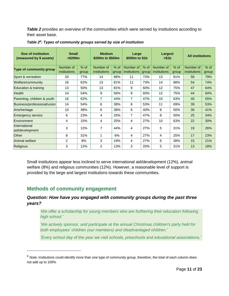**Table 2** provides an overview of the communities which were served by institutions according to their asset base.

| <b>Size of institution</b><br>(measured by \$ assets) | <b>Small</b><br>$<$ \$200 $m$ |        | <b>Medium</b><br>\$200m to \$500m |        | Large<br>\$500m to \$1b |        | Largest<br>> \$1b |        | <b>All institutions</b> |        |
|-------------------------------------------------------|-------------------------------|--------|-----------------------------------|--------|-------------------------|--------|-------------------|--------|-------------------------|--------|
| Type of community group                               | Number of                     | $%$ of | Number of                         | $%$ of | Number of               | $%$ of | Number of         | $%$ of | Number of               | $%$ of |
|                                                       | institutions                  | group  | institutions                      | group  | institutions            | group  | institutions      | group  | institutions            | group  |
| Sport & recreation                                    | 20                            | 77%    | 14                                | 88%    | 11                      | 73%    | 13                | 81%    | 58                      | 79%    |
| Welfare/community                                     | 16                            | 62%    | 13                                | 81%    | 11                      | 73%    | 14                | 88%    | 54                      | 74%    |
| Education & training                                  | 13                            | 50%    | 13                                | 81%    | 9                       | 60%    | 12                | 75%    | 47                      | 64%    |
| <b>Health</b>                                         | 14                            | 54%    | 9                                 | 56%    | 9                       | 60%    | 12                | 75%    | 44                      | 60%    |
| Parenting, children & youth                           | 16                            | 62%    | $\overline{7}$                    | 44%    | $\overline{7}$          | 47%    | 10                | 63%    | 40                      | 55%    |
| Business/professional/union                           | 14                            | 54%    | 6                                 | 38%    | 8                       | 53%    | 11                | 69%    | 39                      | 53%    |
| Arts/heritage                                         | 10                            | 38%    | 6                                 | 38%    | 6                       | 40%    | 8                 | 50%    | 30                      | 41%    |
| Emergency service                                     | 6                             | 23%    | 4                                 | 25%    | 7                       | 47%    | 8                 | 50%    | 25                      | 34%    |
| Environment                                           | 4                             | 15%    | 4                                 | 25%    | 4                       | 27%    | 10                | 63%    | 22                      | 30%    |
| International<br>aid/development                      | 3                             | 12%    | $\overline{7}$                    | 44%    | 4                       | 27%    | 5                 | 31%    | 19                      | 26%    |
| Other                                                 | 8                             | 31%    | 1                                 | 6%     | 4                       | 27%    | 4                 | 25%    | 17                      | 23%    |
| Animal welfare                                        | $\overline{c}$                | 8%     | 3                                 | 19%    | 4                       | 27%    | 6                 | 38%    | 15                      | 21%    |
| <b>Religious</b>                                      | 3                             | 12%    | $\overline{2}$                    | 13%    | 3                       | 20%    | 5                 | 31%    | 13                      | 18%    |

#### *Table 2<sup>6</sup> : Types of community groups served by size of institution*

Small institutions appear less inclined to serve international aid/development (12%), animal welfare (8%) and religious communities (12%). However, a reasonable level of support is provided by the large and largest institutions towards these communities.

# <span id="page-10-0"></span>**Methods of community engagement**

### *Question: How have you engaged with community groups during the past three years?*

*'We offer a scholarship for young members who are furthering their education following high school.'*

*'We actively sponsor, and participate at the annual Christmas children's party held for both employees' children (our members) and disadvantaged children.'*

*'Every school day of the year we visit schools, preschools and educational associations.'*

 $6$  Note: Institutions could identify more than one type of community group, therefore, the total of each column does not add up to 100%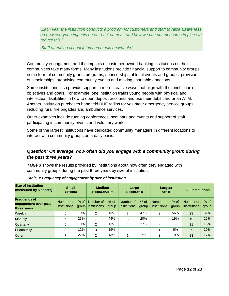*'Each year the institution conducts a program for customers and staff to raise awareness on how everyone impacts on our environment, and how we can put measures in place to reduce this.'*

*'Staff attending school fetes and meals on wheels.'*

Community engagement and the impacts of customer owned banking institutions on their communities take many forms. Many institutions provide financial support to community groups in the form of community grants programs, sponsorships of local events and groups, provision of scholarships, organising community events and making charitable donations.

Some institutions also provide support in more creative ways that align with their institution's objectives and goals. For example, one institution trains young people with physical and intellectual disabilities in how to open deposit accounts and use their debit card or an ATM. Another institution purchases handheld UHF radios for volunteer emergency service groups, including rural fire brigades and ambulance services.

Other examples include running conferences, seminars and events and support of staff participating in community events and voluntary work.

Some of the largest institutions have dedicated community managers in different locations to interact with community groups on a daily basis.

## *Question: On average, how often did you engage with a community group during the past three years?*

**Table 3** shows the results provided by institutions about how often they engaged with community groups during the past three years by size of institution.

| <b>Size of institution</b><br>(measured by \$ assets)      | <b>Small</b><br>$<$ \$200 $m$    |                 | <b>Medium</b><br>\$200m-\$500m |                 | Large<br>\$500m-\$1b             |                          | Largest<br>> \$1b                |                          | <b>All institutions</b>   |                 |
|------------------------------------------------------------|----------------------------------|-----------------|--------------------------------|-----------------|----------------------------------|--------------------------|----------------------------------|--------------------------|---------------------------|-----------------|
| <b>Frequency of</b><br>engagement over past<br>three years | Number of<br><i>institutions</i> | $%$ of<br>group | Number of<br>institutions      | $%$ of<br>group | Number of<br><i>institutions</i> | $%$ of<br>group          | Number of<br><i>institutions</i> | $%$ of<br>group          | Number of<br>institutions | $%$ of<br>group |
| Weekly                                                     | 5                                | 19%             | $\mathcal{P}$                  | 13%             | 7                                | 47%                      | 9                                | 56%                      | 23                        | 32%             |
| <b>Monthly</b>                                             | 6                                | 23%             | 7                              | 44%             | 3                                | 20%                      | 3                                | 19%                      | 19                        | 26%             |
| Quarterly                                                  | 5                                | 19%             | $\mathcal{P}$                  | 13%             | 4                                | 27%                      |                                  | $\overline{\phantom{0}}$ | 11                        | 15%             |
| <b>Bi-annually</b>                                         | 3                                | 12%             | 3                              | 19%             | $\overline{\phantom{0}}$         | $\overline{\phantom{0}}$ |                                  | 6%                       | $\overline{ }$            | 10%             |
| <b>Other</b>                                               |                                  | 27%             | $\mathcal{P}$                  | 13%             | 4                                | 7%                       | 3                                | 19%                      | 13                        | 17%             |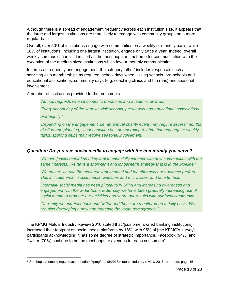Although there is a spread of engagement frequency across each institution size, it appears that the large and largest institutions are more likely to engage with community groups on a more regular basis.

Overall, over 50% of institutions engage with communities on a weekly or monthly basis, while 10% of institutions, including one largest institution, engage only twice a year. Indeed, overall weekly communication is identified as the most popular timeframe for communication with the exception of the medium sized institutions which favour monthly communication.

In terms of frequency and engagement, the category 'other' includes responses such as servicing club memberships as required; school days when visiting schools, pre-schools and educational associations; community days (e.g. coaching clinics and fun runs) and seasonal involvement.

A number of institutions provided further comments:

*'Ad hoc requests when it comes to donations and academic awards.'*

*'Every school day of the year we visit schools, preschools and educational associations.' 'Fortnightly.'*

*'Depending on the engagement, i.e. an annual charity event may require several months of effort and planning, school banking has an operating rhythm that may require weekly tasks, sporting clubs may require seasonal involvement.'*

### *Question: Do you use social media to engage with the community you serve?*

*'We see [social media] as a key tool to especially connect with new communities with the same interests. We have a short-term and longer-term strategy that is in the pipeline.'*

*'We ensure we use the most relevant channel and the channels our audience prefers. This includes email, social media, websites and micro sites, and face to face.'*

*'Internally social media has been pivotal to building and increasing awareness and engagement with the wider team. Externally we have been gradually increasing use of social media to promote our activities and share our results with our local community.'*

*'Currently we use Facebook and twitter and these are monitored on a daily basis. We are also developing a new app targeting the youth demographic.'*

The KPMG Mutual Industry Review 2016 stated that '[customer owned banking institutions] increased their footprint on social media platforms by 18%, with 95% of [the KPMG's survey] participants acknowledging it has some degree of strategic importance. Facebook (94%) and Twitter (70%) continue to be the most popular avenues to reach consumers'.<sup>7</sup>

<sup>7</sup> See https://home.kpmg.com/content/dam/kpmg/au/pdf/2016/mutuals-industry-review-2016-report.pdf, page 15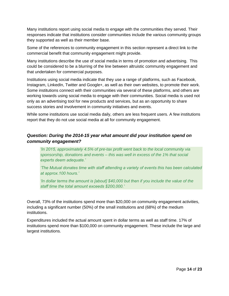Many institutions report using social media to engage with the communities they served. Their responses indicate that institutions consider communities include the various community groups they supported as well as their member base.

Some of the references to community engagement in this section represent a direct link to the commercial benefit that community engagement might provide.

Many institutions describe the use of social media in terms of promotion and advertising. This could be considered to be a blurring of the line between altruistic community engagement and that undertaken for commercial purposes.

Institutions using social media indicate that they use a range of platforms, such as Facebook, Instagram, LinkedIn, Twitter and Google+, as well as their own websites, to promote their work. Some institutions connect with their communities via several of these platforms, and others are working towards using social media to engage with their communities. Social media is used not only as an advertising tool for new products and services, but as an opportunity to share success stories and involvement in community initiatives and events.

While some institutions use social media daily, others are less frequent users. A few institutions report that they do not use social media at all for community engagement.

## *Question: During the 2014-15 year what amount did your institution spend on community engagement?*

*'In 2015, approximately 4.5% of pre-tax profit went back to the local community via sponsorship, donations and events – this was well in excess of the 1% that social experts deem adequate.'*

*'The Mutual donates time with staff attending a variety of events this has been calculated at approx.100 hours.'*

*'In dollar terms the amount is [about] \$40,000 but then if you include the value of the staff time the total amount exceeds \$200,000.'*

Overall, 73% of the institutions spend more than \$20,000 on community engagement activities, including a significant number (50%) of the small institutions and (68%) of the medium institutions.

Expenditures included the actual amount spent in dollar terms as well as staff time. 17% of institutions spend more than \$100,000 on community engagement. These include the large and largest institutions.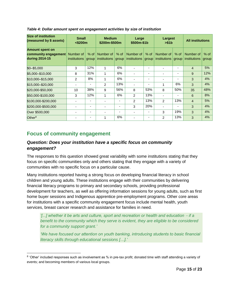| <b>Size of institution</b><br>(measured by \$ assets)            | <b>Small</b><br>$<$ \$200 $m$ |                          | <b>Medium</b><br>\$200m-\$500m |                 | Large<br>\$500m-\$1b      |                          | Largest<br>> \$1b                 |                          | <b>All institutions</b>          |                 |
|------------------------------------------------------------------|-------------------------------|--------------------------|--------------------------------|-----------------|---------------------------|--------------------------|-----------------------------------|--------------------------|----------------------------------|-----------------|
| <b>Amount spent on</b><br>community engagement<br>during 2014-15 | Number of<br>institutions     | $%$ of<br>group          | Number of<br>institutions      | $%$ of<br>group | Number of<br>institutions | $%$ of<br>group          | Number of<br>institutions   group | $%$ of                   | Number of<br><i>institutions</i> | $%$ of<br>group |
| $$0 - $5,000$                                                    | 3                             | 12%                      | 1                              | 6%              |                           |                          |                                   |                          | $\overline{4}$                   | 5%              |
| \$5,000-\$10,000                                                 | 8                             | 31%                      | 1                              | 6%              |                           | ٠                        | ۰                                 |                          | 9                                | 12%             |
| \$10,000 - \$15,000                                              | 2                             | 8%                       | 1                              | 6%              |                           | $\overline{\phantom{0}}$ | ٠                                 | $\overline{\phantom{0}}$ | 3                                | 4%              |
| \$15,000-\$20,000                                                |                               | $\overline{\phantom{0}}$ | $\overline{2}$                 | 13%             |                           | ٠                        |                                   | 6%                       | 3                                | 4%              |
| \$20,000-\$50,000                                                | 10                            | 38%                      | 9                              | 56%             | 8                         | 53%                      | 8                                 | 50%                      | 35                               | 48%             |
| \$50,000-\$100,000                                               | 3                             | 12%                      | 1                              | 6%              | $\mathfrak{p}$            | 13%                      |                                   |                          | 6                                | 8%              |
| \$100,000-\$200,000                                              |                               | ۰                        |                                | ٠               | $\mathfrak{p}$            | 13%                      | $\mathcal{P}$                     | 13%                      | $\overline{4}$                   | 5%              |
| \$200,000-\$500,000                                              |                               | ٠                        |                                | ٠               | 3                         | 20%                      | ۰                                 | ۰                        | 3                                | 4%              |
| Over \$500,000                                                   |                               | $\overline{\phantom{0}}$ |                                | ٠               |                           | $\overline{\phantom{0}}$ | 3                                 | 19%                      | 3                                | 4%              |
| Other $8$                                                        |                               |                          | 1                              | 6%              |                           |                          | 2                                 | 13%                      | 3                                | 4%              |

*Table 4: Dollar amount spent on engagement activities by size of institution*

# <span id="page-14-0"></span>**Focus of community engagement**

### *Question: Does your institution have a specific focus on community engagement?*

The responses to this question showed great variability with some institutions stating that they focus on specific communities only and others stating that they engage with a variety of communities with no specific focus on a particular cause.

Many institutions reported having a strong focus on developing financial literacy in school children and young adults. These institutions engage with their communities by delivering financial literacy programs to primary and secondary schools, providing professional development for teachers, as well as offering information sessions for young adults, such as first home buyer sessions and Indigenous apprentice pre-employment programs. Other core areas for institutions with a specific community engagement focus include mental health, youth services, breast cancer research and assistance for families in need.

*'*[...] whether it be arts and culture, sport and recreation or health and education – if a *benefit to the community which they serve is evident, they are eligible to be considered for a community support grant.'*

*'We have focused our attention on youth banking, introducing students to basic financial literacy skills through educational sessions […].'*

<sup>&</sup>lt;sup>8</sup> 'Other' included responses such as involvement as % in pre-tax profit; donated time with staff attending a variety of events; and becoming members of various local groups.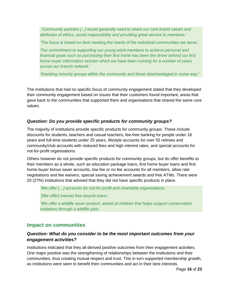*'Community partners [...] would generally need to share our core brand values and attributes of ethics, social responsibility and providing great service to members.'*

*'The focus is based on best meeting the needs of the individual communities we serve.'*

*'Our commitment to supporting our young adult members to achieve personal and financial goals such as purchasing their first home has been the driver behind our first home buyer information session which we have been running for a number of years across our branch network.'*

*'Assisting minority groups within the community and those disadvantaged in some way.'*

The institutions that had no specific focus of community engagement stated that they developed their community engagement based on issues that their customers found important, areas that gave back to the communities that supported them and organisations that shared the same core values.

### *Question: Do you provide specific products for community groups?*

The majority of institutions provide specific products for community groups. These include discounts for students, teachers and casual teachers, fee-free banking for people under 18 years and full-time students under 25 years, lifestyle accounts for over 55 retirees and community/club accounts with reduced fees and high interest rates, and special accounts for not-for-profit organisations.

Others however do not provide specific products for community groups, but do offer benefits to their members as a whole, such as education package loans, first home buyer loans and first home buyer bonus saver accounts, low fee or no fee accounts for all members, allow rate negotiations and fee waivers, special saving achievement awards and free ATMs. There were 20 (27%) institutions that advised that they did not have specific products in place.

*'We offer […] accounts for not-for-profit and charitable organisations.'*

*'[We offer] interest free bicycle loans.'*

*'We offer a wildlife saver product, aimed at children that helps support conservation initiatives through a wildlife park.*

## <span id="page-15-0"></span>**Impact on communities**

### *Question: What do you consider to be the most important outcomes from your engagement activities?*

Institutions indicated that they all derived positive outcomes from their engagement activities. One major positive was the strengthening of relationships between the institutions and their communities, thus creating mutual respect and trust. This in turn supported membership growth, as institutions were seen to benefit their communities and act in their best interests.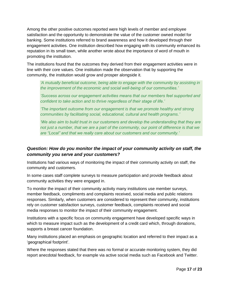Among the other positive outcomes reported were high levels of member and employee satisfaction and the opportunity to demonstrate the value of the customer owned model for banking. Some institutions referred to brand awareness and how it developed through their engagement activities. One institution described how engaging with its community enhanced its reputation in its small town, while another wrote about the importance of word of mouth in promoting the institution.

The institutions found that the outcomes they derived from their engagement activities were in line with their core values. One institution made the observation that by supporting the community, the institution would grow and prosper alongside it.

*'A mutually beneficial outcome, being able to engage with the community by assisting in the improvement of the economic and social well-being of our communities.'*

*'Success across our engagement activities means that our members feel supported and confident to take action and to thrive regardless of their stage of life.'*

*'The important outcome from our engagement is that we promote healthy and strong communities by facilitating social, educational, cultural and health programs.'*

*'We also aim to build trust in our customers and develop the understanding that they are not just a number, that we are a part of the community, our point of difference is that we are "Local" and that we really care about our customers and our community.'*

## *Question: How do you monitor the impact of your community activity on staff, the community you serve and your customers?*

Institutions had various ways of monitoring the impact of their community activity on staff, the community and customers.

In some cases staff complete surveys to measure participation and provide feedback about community activities they were engaged in.

To monitor the impact of their community activity many institutions use member surveys, member feedback, compliments and complaints received, social media and public relations responses. Similarly, when customers are considered to represent their community, institutions rely on customer satisfaction surveys, customer feedback, complaints received and social media responses to monitor the impact of their community engagement.

Institutions with a specific focus on community engagement have developed specific ways in which to measure impact such as the development of a credit card which, through donations, supports a breast cancer foundation.

Many institutions placed an emphasis on geographic location and referred to their impact as a 'geographical footprint'.

Where the responses stated that there was no formal or accurate monitoring system, they did report anecdotal feedback, for example via active social media such as Facebook and Twitter.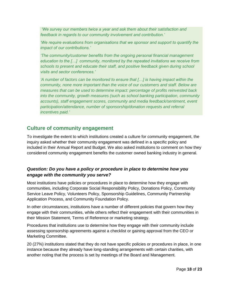*'We survey our members twice a year and ask them about their satisfaction and feedback in regards to our community involvement and contribution.'*

*'We require evaluations from organisations that we sponsor and support to quantify the impact of our contributions.'*

*'The community/customer benefits from the ongoing personal financial management education to the […] community, monitored by the repeated invitations we receive from schools to present and educate their staff, and positive feedback given during school visits and sector conferences.'*

*'A number of factors can be monitored to ensure that […] is having impact within the community, none more important than the voice of our customers and staff. Below are measures that can be used to determine impact: percentage of profits reinvested back into the community, growth measures (such as school banking participation, community accounts), staff engagement scores, community and media feedback/sentiment, event participation/attendance, number of sponsorship/donation requests and referral incentives paid.'*

# <span id="page-17-0"></span>**Culture of community engagement**

To investigate the extent to which institutions created a culture for community engagement, the inquiry asked whether their community engagement was defined in a specific policy and included in their Annual Report and Budget. We also asked institutions to comment on how they considered community engagement benefits the customer owned banking industry in general.

### *Question: Do you have a policy or procedure in place to determine how you engage with the community you serve?*

Most institutions have policies or procedures in place to determine how they engage with communities, including Corporate Social Responsibility Policy, Donations Policy, Community Service Leave Policy, Volunteers Policy, Sponsorship Guidelines, Community Partnership Application Process, and Community Foundation Policy.

In other circumstances, institutions have a number of different policies that govern how they engage with their communities, while others reflect their engagement with their communities in their Mission Statement, Terms of Reference or marketing strategy.

Procedures that institutions use to determine how they engage with their community include assessing sponsorship agreements against a checklist or gaining approval from the CEO or Marketing Committee.

20 (27%) institutions stated that they do not have specific policies or procedures in place, in one instance because they already have long-standing arrangements with certain charities, with another noting that the process is set by meetings of the Board and Management.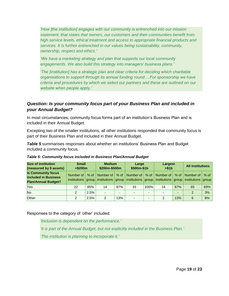*'How [the institution] engages with our community is entrenched into our mission statement, that states that owners, our customers and their communities benefit from high service levels, ethical treatment and access to appropriate financial products and services. It is further entrenched in our values being sustainability, community, ownership, respect and ethics.'*

*'We have a marketing strategy and plan that supports our local community engagements. We also build this strategy into managers' business plans.'*

*'The [institution] has a strategic plan and clear criteria for deciding which charitable organisations to support through its annual funding round….For sponsorship we have criteria and procedures by which we select our partners and these are outlined on our website when people apply.'*

## *Question: Is your community focus part of your Business Plan and included in your Annual Budget?*

In most circumstances, community focus forms part of an institution's Business Plan and is included in their Annual Budget.

Excepting two of the smaller institutions, all other institutions responded that community focus is part of their Business Plan and included in their Annual Budget.

**Table 5** summarises responses about whether an institutions' Business Plan and Budget included a community focus.

| Size of institution<br>(measured by \$ assets)                                         | <b>Small</b><br>$<$ \$200 $m$ |              | <b>Medium</b><br>\$200m-\$500m |                          | Large<br>\$500m-\$1b     |                          | Largest<br>> \$1b |     | <b>All institutions</b>                                                                                                                                              |        |
|----------------------------------------------------------------------------------------|-------------------------------|--------------|--------------------------------|--------------------------|--------------------------|--------------------------|-------------------|-----|----------------------------------------------------------------------------------------------------------------------------------------------------------------------|--------|
| <b>Is Community focus</b><br><b>included in Business</b><br><b>Plan/Annual Budget?</b> | Number of                     | % of $\vert$ | Number of I                    |                          |                          |                          |                   |     | % of   Number of   % of   Number of   % of   Number of  <br>institutions $group$ institutions $group$ institutions $group$ institutions $group$ institutions $group$ | $%$ of |
| <b>Yes</b>                                                                             | 22                            | 85%          | 14                             | 87%                      | 15                       | 100%                     | 14                | 87% | 65                                                                                                                                                                   | 89%    |
| <b>No</b>                                                                              |                               | 2.5%         | $\overline{\phantom{a}}$       | $\overline{\phantom{0}}$ | ۰.                       | $\overline{\phantom{a}}$ |                   |     |                                                                                                                                                                      | 3%     |
| Other                                                                                  |                               | 2.5%         | $\mathcal{P}$                  | 13%                      | $\overline{\phantom{0}}$ | -                        | 2                 | 13% | 6                                                                                                                                                                    | 8%     |

*Table 5: Community focus included in Business Plan/Annual Budget*

Responses to the category of 'other' included:

*'Inclusion is dependent on the performance.'*

*'It is part of the Annual Budget, but not explicitly included in the Business Plan.'*

*'The institution is planning to incorporate it.'*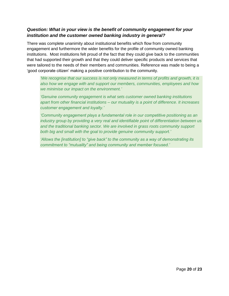### *Question: What in your view is the benefit of community engagement for your institution and the customer owned banking industry in general?*

There was complete unanimity about institutional benefits which flow from community engagement and furthermore the wider benefits for the profile of community owned banking institutions. Most institutions felt proud of the fact that they could give back to the communities that had supported their growth and that they could deliver specific products and services that were tailored to the needs of their members and communities. Reference was made to being a 'good corporate citizen' making a positive contribution to the community.

*'We recognise that our success is not only measured in terms of profits and growth, it is also how we engage with and support our members, communities, employees and how we minimise our impact on the environment.'*

*'Genuine community engagement is what sets customer owned banking institutions apart from other financial institutions – our mutuality is a point of difference. It increases customer engagement and loyalty.'*

*'Community engagement plays a fundamental role in our competitive positioning as an industry group by providing a very real and identifiable point of differentiation between us and the traditional banking sector. We are involved in grass roots community support both big and small with the goal to provide genuine community support.'*

<span id="page-19-0"></span>*'Allows the [institution] to "give back" to the community as a way of demonstrating its commitment to "mutuality" and being community and member focused.'*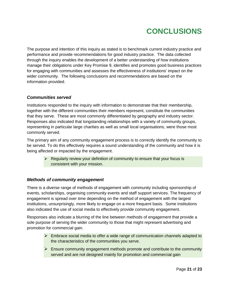# **CONCLUSIONS**

The purpose and intention of this inquiry as stated is to benchmark current industry practice and performance and provide recommendations for good industry practice. The data collected through the inquiry enables the development of a better understanding of how institutions manage their obligations under Key Promise 9, identifies and promotes good business practices for engaging with communities and assesses the effectiveness of institutions' impact on the wider community. The following conclusions and recommendations are based on the information provided.

#### <span id="page-20-0"></span>*Communities served*

Institutions responded to the inquiry with information to demonstrate that their membership, together with the different communities their members represent, constitute the communities that they serve. These are most commonly differentiated by geography and industry sector. Responses also indicated that longstanding relationships with a variety of community groups, representing in particular large charities as well as small local organisations, were those most commonly served.

The primary aim of any community engagement process is to correctly identify the community to be served. To do this effectively requires a sound understanding of the community and how it is being affected or impacted by the engagement.

 $\triangleright$  Regularly review your definition of community to ensure that your focus is consistent with your mission.

### <span id="page-20-1"></span>*Methods of community engagement*

There is a diverse range of methods of engagement with community including sponsorship of events, scholarships, organising community events and staff support services. The frequency of engagement is spread over time depending on the method of engagement with the largest institutions, unsurprisingly, more likely to engage on a more frequent basis. Some institutions also indicated the use of social media to effectively provide community engagement.

Responses also indicate a blurring of the line between methods of engagement that provide a sole purpose of serving the wider community to those that might represent advertising and promotion for commercial gain.

- $\triangleright$  Embrace social media to offer a wide range of communication channels adapted to the characteristics of the communities you serve.
- $\triangleright$  Ensure community engagement methods promote and contribute to the community served and are not designed mainly for promotion and commercial gain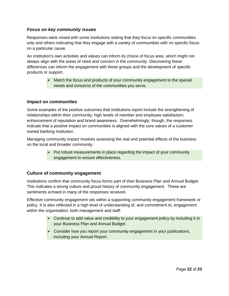#### <span id="page-21-0"></span>*Focus on key community issues*

Responses were mixed with some institutions stating that they focus on specific communities only and others indicating that they engage with a variety of communities with no specific focus on a particular cause.

An institution's own activities and values can inform its choice of focus area, which might not always align with the areas of need and concern in the community. Discovering these differences can inform the engagement with these groups and the development of specific products or support.

> $\triangleright$  Match the focus and products of your community engagement to the special needs and concerns of the communities you serve.

#### <span id="page-21-1"></span>*Impact on communities*

Some examples of the positive outcomes that institutions report include the strengthening of relationships within their community; high levels of member and employee satisfaction; enhancement of reputation and brand awareness. Overwhelmingly, though, the responses indicate that a positive impact on communities is aligned with the core values of a customer owned banking institution.

Managing community impact involves assessing the real and potential effects of the business on the local and broader community.

> $\triangleright$  Put robust measurements in place regarding the impact of your community engagement to ensure effectiveness.

#### <span id="page-21-2"></span>**Culture of community engagement**

Institutions confirm that community focus forms part of their Business Plan and Annual Budget. This indicates a strong culture and proud history of community engagement. These are sentiments echoed in many of the responses received.

Effective community engagement sits within a supporting community engagement framework or policy. It is also reflected in a high level of understanding of, and commitment to, engagement within the organisation, both management and staff.

- $\triangleright$  Continue to add value and credibility to your engagement policy by including it in your Business Plan and Annual Budget.
- $\triangleright$  Consider how you report your community engagement in your publications, including your Annual Report.